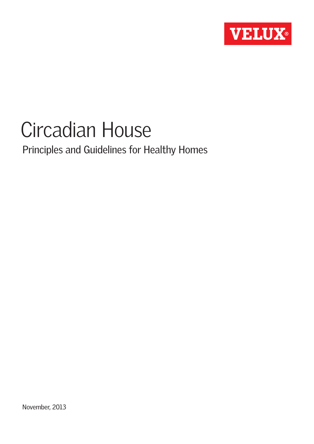

# Circadian House

Principles and Guidelines for Healthy Homes

November, 2013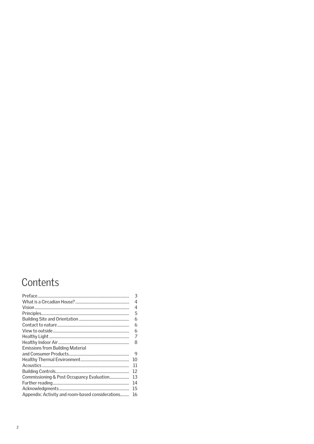### Contents

| 3  |
|----|
| 4  |
| 4  |
| 5  |
| 6  |
| 6  |
| 6  |
| 7  |
| 8  |
|    |
| 9  |
| 10 |
| וו |
| 12 |
| 13 |
| 14 |
| 15 |
| 16 |
|    |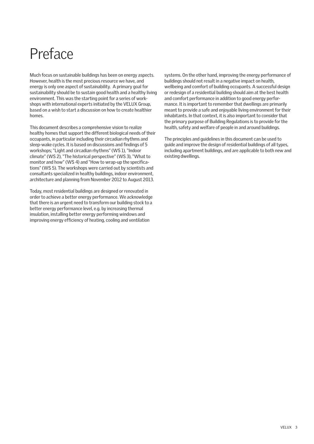## Preface

Much focus on sustainable buildings has been on energy aspects. However, health is the most precious resource we have, and energy is only one aspect of sustainability. A primary goal for sustainability should be to sustain good health and a healthy living environment. This was the starting point for a series of workshops with international experts initiated by the VELUX Group, based on a wish to start a discussion on how to create healthier homes.

This document describes a comprehensive vision to realize healthy homes that support the different biological needs of their occupants, in particular including their circadian rhythms and sleep-wake cycles. It is based on discussions and findings of 5 workshops; "Light and circadian rhythms" (WS 1), "Indoor climate" (WS 2), "The historical perspective" (WS 3), "What to monitor and how" (WS 4) and "How to wrap-up the specifications" (WS 5). The workshops were carried out by scientists and consultants specialized in healthy buildings, indoor environment, architecture and planning from November 2012 to August 2013.

Today, most residential buildings are designed or renovated in order to achieve a better energy performance. We acknowledge that there is an urgent need to transform our building stock to a better energy performance level, e.g. by increasing thermal insulation, installing better energy performing windows and improving energy efficiency of heating, cooling and ventilation

systems. On the other hand, improving the energy performance of buildings should not result in a negative impact on health, wellbeing and comfort of building occupants. A successful design or redesign of a residential building should aim at the best health and comfort performance in addition to good energy performance. It is important to remember that dwellings are primarily meant to provide a safe and enjoyable living environment for their inhabitants. In that context, it is also important to consider that the primary purpose of Building Regulations is to provide for the health, safety and welfare of people in and around buildings.

The principles and guidelines in this document can be used to guide and improve the design of residential buildings of all types, including apartment buildings, and are applicable to both new and existing dwellings.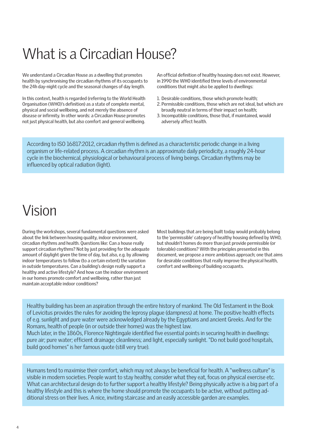## What is a Circadian House?

We understand a Circadian House as a dwelling that promotes health by synchronising the circadian rhythms of its occupants to the 24h day-night cycle and the seasonal changes of day length.

In this context, health is regarded (referring to the World Health Organisation (WHO)'s definition) as a state of complete mental, physical and social wellbeing, and not merely the absence of disease or infirmity. In other words: a Circadian House promotes not just physical health, but also comfort and general wellbeing.

An official definition of healthy housing does not exist. However, in 1990 the WHO identified three levels of environmental conditions that might also be applied to dwellings:

- 1. Desirable conditions, those which promote health;
- 2. Permissible conditions, those which are not ideal, but which are broadly neutral in terms of their impact on health;
- 3. Incompatible conditions, those that, if maintained, would adversely affect health.

According to ISO 16817:2012, circadian rhythm is defined as a characteristic periodic change in a living organism or life-related process. A circadian rhythm is an approximate daily periodicity, a roughly 24-hour cycle in the biochemical, physiological or behavioural process of living beings. Circadian rhythms may be influenced by optical radiation (light).

### Vision

During the workshops, several fundamental questions were asked about the link between housing quality, indoor environment, circadian rhythms and health. Questions like: Can a house really support circadian rhythms? Not by just providing for the adequate amount of daylight given the time of day, but also, e.g. by allowing indoor temperatures to follow (to a certain extent) the variation in outside temperatures. Can a building's design really support a healthy and active lifestyle? And how can the indoor environment in our homes promote comfort and wellbeing, rather than just maintain acceptable indoor conditions?

Most buildings that are being built today would probably belong to the 'permissible' category of healthy housing defined by WHO, but shouldn't homes do more than just provide permissible (or tolerable) conditions? With the principles presented in this document, we propose a more ambitious approach; one that aims for desirable conditions that really improve the physical health, comfort and wellbeing of building occupants.

Healthy building has been an aspiration through the entire history of mankind. The Old Testament in the Book of Levicitus provides the rules for avoiding the leprosy plague (dampness) at home. The positive health effects of e.g. sunlight and pure water were acknowledged already by the Egyptians and ancient Greeks. And for the Romans, health of people (in or outside their homes) was the highest law. Much later, in the 1860s, Florence Nightingale identified five essential points in securing health in dwellings: pure air; pure water; efficient drainage; cleanliness; and light, especially sunlight. "Do not build good hospitals, build good homes" is her famous quote (still very true).

Humans tend to maximise their comfort, which may not always be beneficial for health. A "wellness culture" is visible in modern societies. People want to stay healthy, consider what they eat, focus on physical exercise etc. What can architectural design do to further support a healthy lifestyle? Being physically active is a big part of a healthy lifestyle and this is where the home should promote the occupants to be active, without putting additional stress on their lives. A nice, inviting staircase and an easily accessible garden are examples.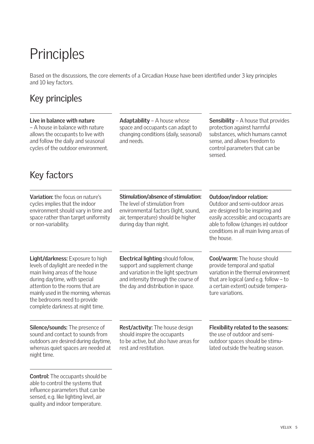## **Principles**

Based on the discussions, the core elements of a Circadian House have been identified under 3 key principles and 10 key factors.

#### Key principles

#### **Live in balance with nature**

– A house in balance with nature allows the occupants to live with and follow the daily and seasonal cycles of the outdoor environment. **Adaptability** – A house whose space and occupants can adapt to changing conditions (daily, seasonal) and needs.

**Sensibility** – A house that provides protection against harmful substances, which humans cannot sense, and allows freedom to control parameters that can be sensed.

#### Key factors

**Variation:** the focus on nature's cycles implies that the indoor environment should vary in time and space rather than target uniformity or non-variability.

**Light/darkness:** Exposure to high levels of daylight are needed in the main living areas of the house during daytime, with special attention to the rooms that are mainly used in the morning, whereas the bedrooms need to provide complete darkness at night time.

**Silence/sounds:** The presence of sound and contact to sounds from outdoors are desired during daytime, whereas quiet spaces are needed at night time.

**Control:** The occupants should be able to control the systems that influence parameters that can be sensed, e.g. like lighting level, air quality and indoor temperature.

The level of stimulation from environmental factors (light, sound, air, temperature) should be higher during day than night.

**Stimulation/absence of stimulation:** 

#### **Electrical lighting** should follow, support and supplement change and variation in the light spectrum and intensity through the course of the day and distribution in space.

**Outdoor/indoor relation:** Outdoor and semi-outdoor areas

are designed to be inspiring and easily accessible; and occupants are able to follow (changes in) outdoor conditions in all main living areas of the house.

**Cool/warm:** The house should provide temporal and spatial variation in the thermal environment that are logical (and e.g. follow – to a certain extent) outside temperature variations.

**Rest/activity:** The house design should inspire the occupants to be active, but also have areas for rest and restitution.

#### **Flexibility related to the seasons:**

the use of outdoor and semioutdoor spaces should be stimulated outside the heating season.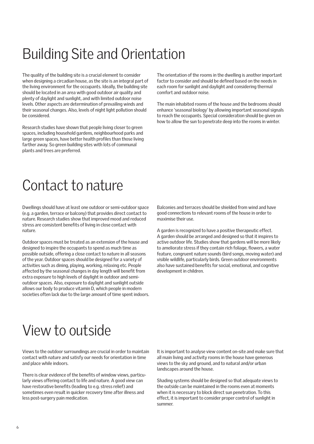## Building Site and Orientation

The quality of the building site is a crucial element to consider when designing a circadian house, as the site is an integral part of the living environment for the occupants. Ideally, the building site should be located in an area with good outdoor air quality and plenty of daylight and sunlight, and with limited outdoor noise levels. Other aspects are determination of prevailing winds and their seasonal changes. Also, levels of night light pollution should be considered.

Research studies have shown that people living closer to green spaces, including household gardens, neighbourhood parks and large green spaces, have better health profiles than those living farther away. So green building sites with lots of communal plants and trees are preferred.

The orientation of the rooms in the dwelling is another important factor to consider and should be defined based on the needs in each room for sunlight and daylight and considering thermal comfort and outdoor noise.

The main inhabited rooms of the house and the bedrooms should enhance 'seasonal biology' by allowing important seasonal signals to reach the occupants. Special consideration should be given on how to allow the sun to penetrate deep into the rooms in winter.

## Contact to nature

Dwellings should have at least one outdoor or semi-outdoor space (e.g. a garden, terrace or balcony) that provides direct contact to nature. Research studies show that improved mood and reduced stress are consistent benefits of living in close contact with nature.

Outdoor spaces must be treated as an extension of the house and designed to inspire the occupants to spend as much time as possible outside, offering a close contact to nature in all seasons of the year. Outdoor spaces should be designed for a variety of activities such as dining, playing, working, relaxing etc. People affected by the seasonal changes in day length will benefit from extra exposure to high levels of daylight in outdoor and semioutdoor spaces. Also, exposure to daylight and sunlight outside allows our body to produce vitamin D, which people in modern societies often lack due to the large amount of time spent indoors. Balconies and terraces should be shielded from wind and have good connections to relevant rooms of the house in order to maximise their use.

A garden is recognized to have a positive therapeutic effect. A garden should be arranged and designed so that it inspires to active outdoor life. Studies show that gardens will be more likely to ameliorate stress if they contain rich foliage, flowers, a water feature, congruent nature sounds (bird songs, moving water) and visible wildlife, particularly birds. Green outdoor environments also have sustained benefits for social, emotional, and cognitive development in children.

### View to outside

Views to the outdoor surroundings are crucial in order to maintain contact with nature and satisfy our needs for orientation in time and place while indoors.

There is clear evidence of the benefits of window views, particularly views offering contact to life and nature. A good view can have restorative benefits (leading to e.g. stress relief) and sometimes even result in quicker recovery time after illness and less post-surgery pain medication.

It is important to analyse view content on-site and make sure that all main living and activity rooms in the house have generous views to the sky and ground, and to natural and/or urban landscapes around the house.

Shading systems should be designed so that adequate views to the outside can be maintained in the rooms even at moments when it is necessary to block direct sun penetration. To this effect, it is important to consider proper control of sunlight in summer.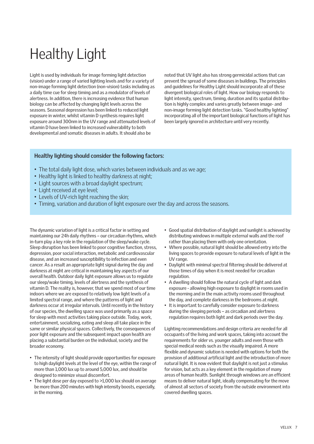# Healthy Light

Light is used by individuals for image forming light detection (vision) under a range of varied lighting levels and for a variety of non-image forming light detection (non-vision) tasks including as a daily time cue for sleep timing and as a modulator of levels of alertness. In addition, there is increasing evidence that human biology can be affected by changing light levels across the seasons. Seasonal depression has been linked to reduced light exposure in winter, whilst vitamin D synthesis requires light exposure around 300nm in the UV range and attenuated levels of vitamin D have been linked to increased vulnerability to both developmental and somatic diseases in adults. It should also be

noted that UV light also has strong germicidal actions that can prevent the spread of some diseases in buildings. The principles and guidelines for Healthy Light should incorporate all of these divergent biological roles of light. How our biology responds to light intensity, spectrum, timing, duration and its spatial distribution is highly complex and varies greatly between image- and non-image forming light detection tasks. "Good healthy lighting" incorporating all of the important biological functions of light has been largely ignored in architecture until very recently.

#### **Healthy lighting should consider the following factors:**

- The total daily light dose, which varies between individuals and as we age;
- Healthy light is linked to healthy darkness at night;
- Light sources with a broad daylight spectrum:
- Light received at eye level;
- Levels of UV-rich light reaching the skin;
- Timing, variation and duration of light exposure over the day and across the seasons.

The dynamic variation of light is a critical factor in setting and maintaining our 24h daily rhythms – our circadian rhythms, which in-turn play a key role in the regulation of the sleep/wake cycle. Sleep disruption has been linked to poor cognitive function, stress, depression, poor social interaction, metabolic and cardiovascular disease, and an increased susceptibility to infection and even cancer. As a result an appropriate light signal during the day and darkness at night are critical in maintaining key aspects of our overall health. Outdoor daily light exposure allows us to regulate our sleep/wake timing, levels of alertness and the synthesis of vitamin D. The reality is, however, that we spend most of our time indoors where we are exposed to relatively low light levels of a limited spectral range, and where the patterns of light and darkness occur at irregular intervals. Until recently in the history of our species, the dwelling space was used primarily as a space for sleep with most activities taking place outside. Today, work, entertainment, socializing, eating and sleep all take place in the same or similar physical spaces. Collectively, the consequences of poor light exposure and the subsequent impact upon health are placing a substantial burden on the individual, society and the broader economy.

- The intensity of light should provide opportunities for exposure to high daylight levels at the level of the eye, within the range of more than 1,000 lux up to around 5,000 lux, and should be designed to minimize visual discomfort.
- The light dose per day exposed to >1,000 lux should on average be more than 200 minutes with high intensity boosts, especially, in the morning.
- Good spatial distribution of daylight and sunlight is achieved by distributing windows in multiple external walls and the roof rather than placing them with only one orientation.
- Where possible, natural light should be allowed entry into the living spaces to provide exposure to natural levels of light in the UV range.
- Daylight with minimal spectral filtering should be delivered at those times of day when it is most needed for circadian regulation.
- A dwelling should follow the natural cycle of light and dark exposure - allowing high exposure to daylight in rooms used in the morning and in the main activity rooms used throughout the day, and complete darkness in the bedrooms at night.
- It is important to carefully consider exposure to darkness during the sleeping periods – as circadian and alertness regulation requires both light and dark periods over the day.

Lighting recommendations and design criteria are needed for all occupants of the living and work spaces, taking into account the requirements for older vs. younger adults and even those with special medical needs such as the visually impaired. A more flexible and dynamic solution is needed with options for both the provision of additional artificial light and the introduction of more natural light. It is now evident that daylight is not just a stimulus for vision, but acts as a key element in the regulation of many areas of human health. Sunlight through windows are an efficient means to deliver natural light, ideally compensating for the move of almost all sectors of society from the outside environment into covered dwelling spaces.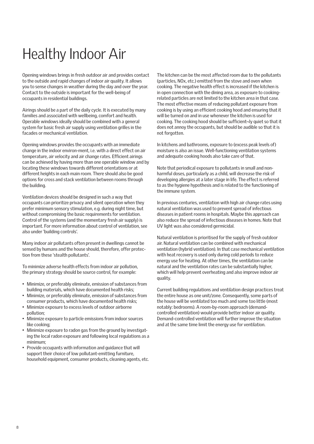## Healthy Indoor Air

Opening windows brings in fresh outdoor air and provides contact to the outside and rapid changes of indoor air quality. It allows you to sense changes in weather during the day and over the year. Contact to the outside is important for the well-being of occupants in residential buildings.

Airings should be a part of the daily cycle. It is executed by many families and associated with wellbeing, comfort and health. Operable windows ideally should be combined with a general system for basic fresh air supply using ventilation grilles in the facades or mechanical ventilation.

Opening windows provides the occupants with an immediate change in the indoor environ-ment, i.e. with a direct effect on air temperature, air velocity and air change rates. Efficient airings can be achieved by having more than one operable window and by locating these windows towards different orientations or at different heights in each main room. There should also be good options for cross and stack ventilation between rooms through the building.

Ventilation devices should be designed in such a way that occupants can prioritize privacy and silent operation when they prefer minimum sensory stimulation, e.g. during night time, but without compromising the basic requirements for ventilation. Control of the systems (and the momentary fresh air supply) is important. For more information about control of ventilation, see also under 'building controls'.

Many indoor air pollutants often present in dwellings cannot be sensed by humans and the house should, therefore, offer protection from these 'stealth pollutants'.

To minimize adverse health effects from indoor air pollution, the primary strategy should be source control, for example:

- Minimize, or preferably eliminate, emission of substances from building materials, which have documented health risks;
- Minimize, or preferably eliminate, emission of substances from consumer products, which have documented health risks;
- Minimize exposure to excess levels of outdoor airborne pollution;
- Minimize exposure to particle emissions from indoor sources like cooking;
- Minimize exposure to radon gas from the ground by investigating the local radon exposure and following local regulations as a minimum;
- Provide occupants with information and guidance that will support their choice of low pollutant-emitting furniture, household equipment, consumer products, cleaning agents, etc.

The kitchen can be the most affected room due to the pollutants (particles, NOx, etc.) emitted from the stove and oven when cooking. The negative health effect is increased if the kitchen is in open connection with the dining area, as exposure to cookingrelated particles are not limited to the kitchen area in that case. The most effective means of reducing pollutant exposure from cooking is by using an efficient cooking hood and ensuring that it will be turned on and in use whenever the kitchen is used for cooking. The cooking hood should be sufficient¬ly quiet so that it does not annoy the occupants, but should be audible so that it is not forgotten.

In kitchens and bathrooms, exposure to (excess peak levels of) moisture is also an issue. Well-functioning ventilation systems and adequate cooking hoods also take care of that.

Note that periodical exposure to pollutants in small and nonharmful doses, particularly as a child, will decrease the risk of developing allergies at a later stage in life. The effect is referred to as the hygiene hypothesis and is related to the functioning of the immune system.

In previous centuries, ventilation with high air change rates using natural ventilation was used to prevent spread of infectious diseases in patient rooms in hospitals. Maybe this approach can also reduce the spread of infectious diseases in homes. Note that UV light was also considered germicidal.

Natural ventilation is prioritised for the supply of fresh outdoor air. Natural ventilation can be combined with mechanical ventilation (hybrid ventilation). In that case mechanical ventilation with heat recovery is used only during cold periods to reduce energy use for heating. At other times, the ventilation can be natural and the ventilation rates can be substantially higher, which will help prevent overheating and also improve indoor air quality.

Current building regulations and ventilation design practices treat the entire house as one unit/zone. Consequently, some parts of the house will be ventilated too much and some too little (most notably: bedrooms). A room-by-room approach (demandcontrolled ventilation) would provide better indoor air quality. Demand-controlled ventilation will further improve the situation and at the same time limit the energy use for ventilation.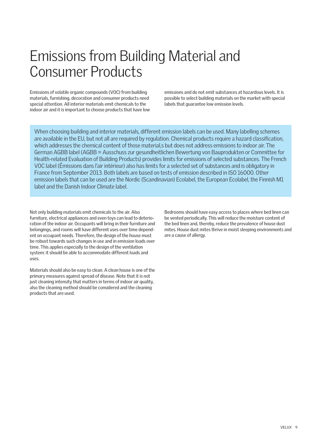## Emissions from Building Material and Consumer Products

Emissions of volatile organic compounds (VOC) from building materials, furnishing, decoration and consumer products need special attention. All interior materials emit chemicals to the indoor air and it is important to choose products that have low emissions and do not emit substances at hazardous levels. It is possible to select building materials on the market with special labels that guarantee low emission levels.

When choosing building and interior materials, different emission labels can be used. Many labelling schemes are available in the EU, but not all are required by regulation. Chemical products require a hazard classification, which addresses the chemical content of those material,s but does not address emissions to indoor air. The German AGBB label (AGBB = Ausschuss zur gesundheitlichen Bewertung von Bauprodukten or Committee for Health-related Evaluation of Building Products) provides limits for emissions of selected substances. The French VOC label (Émissions dans l'air intérieur) also has limits for a selected set of substances and is obligatory in France from September 2013. Both labels are based on tests of emission described in ISO 16000. Other emission labels that can be used are the Nordic (Scandinavian) Ecolabel, the European Ecolabel, the Finnish M1 label and the Danish Indoor Climate label.

Not only building materials emit chemicals to the air. Also furniture, electrical appliances and even toys can lead to deterioration of the indoor air. Occupants will bring in their furniture and belongings, and rooms will have different uses over time dependent on occupant needs. Therefore, the design of the house must be robust towards such changes in use and in emission loads over time. This applies especially to the design of the ventilation system: it should be able to accommodate different loads and uses.

Materials should also be easy to clean. A clean house is one of the primary measures against spread of disease. Note that it is not just cleaning intensity that matters in terms of indoor air quality, also the cleaning method should be considered and the cleaning products that are used.

Bedrooms should have easy access to places where bed linen can be vented periodically. This will reduce the moisture content of the bed linen and, thereby, reduce the prevalence of house dust mites. House dust mites thrive in moist sleeping environments and are a cause of allergy.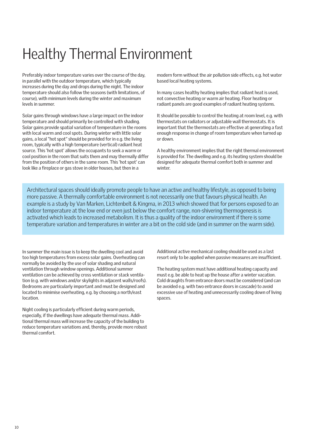## Healthy Thermal Environment

Preferably indoor temperature varies over the course of the day, in parallel with the outdoor temperature, which typically increases during the day and drops during the night. The indoor temperature should also follow the seasons (with limitations, of course), with minimum levels during the winter and maximum levels in summer.

Solar gains through windows have a large impact on the indoor temperature and should primarily be controlled with shading. Solar gains provide spatial variation of temperature in the rooms with local warm and cool spots. During winter with little solar gains, a local "hot spot" should be provided for in e.g. the living room, typically with a high temperature (vertical) radiant heat source. This 'hot spot' allows the occupants to seek a warm or cool position in the room that suits them and may thermally differ from the position of others in the same room. This 'hot spot' can look like a fireplace or gas stove in older houses, but then in a

modern form without the air pollution side effects, e.g. hot water based local heating systems.

In many cases healthy heating implies that radiant heat is used, not convective heating or warm air heating. Floor heating or radiant panels are good examples of radiant heating systems.

It should be possible to control the heating at room level, e.g. with thermostats on radiators or adjustable wall thermostats. It is important that the thermostats are effective at generating a fast enough response in change of room temperature when turned up or down.

A healthy environment implies that the right thermal environment is provided for. The dwelling and e.g. its heating system should be designed for adequate thermal comfort both in summer and winter

Architectural spaces should ideally promote people to have an active and healthy lifestyle, as opposed to being more passive. A thermally comfortable environment is not necessarily one that favours physical health. An example is a study by Van Marken, Lichtenbelt & Kingma, in 2013 which showed that for persons exposed to an indoor temperature at the low end or even just below the comfort range, non-shivering thermogenesis is activated which leads to increased metabolism. It is thus a quality of the indoor environment if there is some temperature variation and temperatures in winter are a bit on the cold side (and in summer on the warm side).

In summer the main issue is to keep the dwelling cool and avoid too high temperatures from excess solar gains. Overheating can normally be avoided by the use of solar shading and natural ventilation through window openings. Additional summer ventilation can be achieved by cross ventilation or stack ventilation (e.g. with windows and/or skylights in adjacent walls/roofs). Bedrooms are particularly important and must be designed and located to minimise overheating, e.g. by choosing a north/east location.

Night cooling is particularly efficient during warm periods, especially, if the dwellings have adequate thermal mass. Additional thermal mass will increase the capacity of the building to reduce temperature variations and, thereby, provide more robust thermal comfort.

Additional active mechanical cooling should be used as a last resort only to be applied when passive measures are insufficient.

The heating system must have additional heating capacity and must e.g. be able to heat up the house after a winter vacation. Cold draughts from entrance doors must be considered (and can be avoided e.g. with two entrance doors in cascade) to avoid excessive use of heating and unnecessarily cooling down of living spaces.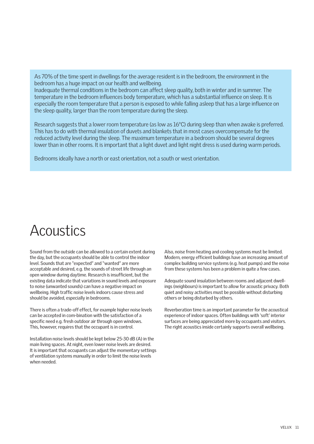As 70% of the time spent in dwellings for the average resident is in the bedroom, the environment in the bedroom has a huge impact on our health and wellbeing.

Inadequate thermal conditions in the bedroom can affect sleep quality, both in winter and in summer. The temperature in the bedroom influences body temperature, which has a substantial influence on sleep. It is especially the room temperature that a person is exposed to while falling asleep that has a large influence on the sleep quality, larger than the room temperature during the sleep.

Research suggests that a lower room temperature (as low as 16°C) during sleep than when awake is preferred. This has to do with thermal insulation of duvets and blankets that in most cases overcompensate for the reduced activity level during the sleep. The maximum temperature in a bedroom should be several degrees lower than in other rooms. It is important that a light duvet and light night dress is used during warm periods.

Bedrooms ideally have a north or east orientation, not a south or west orientation.

### Acoustics

Sound from the outside can be allowed to a certain extent during the day, but the occupants should be able to control the indoor level. Sounds that are "expected" and "wanted" are more acceptable and desired, e.g. the sounds of street life through an open window during daytime. Research is insufficient, but the existing data indicate that variations in sound levels and exposure to noise (unwanted sounds) can have a negative impact on wellbeing. High traffic noise levels indoors cause stress and should be avoided, especially in bedrooms.

There is often a trade-off effect, for example higher noise levels can be accepted in com-bination with the satisfaction of a specific need e.g. fresh outdoor air through open windows. This, however, requires that the occupant is in control.

Installation noise levels should be kept below 25-30 dB (A) in the main living spaces. At night, even lower noise levels are desired. It is important that occupants can adjust the momentary settings of ventilation systems manually in order to limit the noise levels when needed.

Also, noise from heating and cooling systems must be limited. Modern, energy efficient buildings have an increasing amount of complex building service systems (e.g. heat pumps) and the noise from these systems has been a problem in quite a few cases.

Adequate sound insulation between rooms and adjacent dwellings (neighbours) is important to allow for acoustic privacy. Both quiet and noisy activities must be possible without disturbing others or being disturbed by others.

Reverberation time is an important parameter for the acoustical experience of indoor spaces. Often buildings with 'soft' interior surfaces are being appreciated more by occupants and visitors. The right acoustics inside certainly supports overall wellbeing.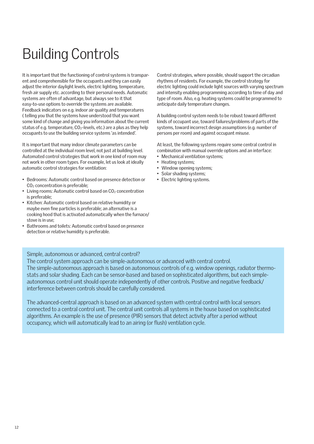## Building Controls

It is important that the functioning of control systems is transparent and comprehensible for the occupants and they can easily adjust the interior daylight levels, electric lighting, temperature, fresh air supply etc. according to their personal needs. Automatic systems are often of advantage, but always see to it that easy-to-use options to override the systems are available. Feedback indicators on e.g. indoor air quality and temperatures ( telling you that the systems have understood that you want some kind of change and giving you information about the current status of e.g. temperature, CO<sub>2</sub>-levels, etc.) are a plus as they help occupants to use the building service systems 'as intended'.

It is important that many indoor climate parameters can be controlled at the individual room level, not just at building level. Automated control strategies that work in one kind of room may not work in other room types. For example, let us look at ideally automatic control strategies for ventilation:

- Bedrooms: Automatic control based on presence detection or CO<sub>2</sub> concentration is preferable:
- Living rooms: Automatic control based on  $CO<sub>2</sub>$  concentration is preferable;
- Kitchen: Automatic control based on relative humidity or maybe even fine particles is preferable; an alternative is a cooking hood that is activated automatically when the furnace/ stove is in use;
- Bathrooms and toilets: Automatic control based on presence detection or relative humidity is preferable.

Control strategies, where possible, should support the circadian rhythms of residents. For example, the control strategy for electric lighting could include light sources with varying spectrum and intensity enabling programming according to time of day and type of room. Also, e.g. heating systems could be programmed to anticipate daily temperature changes.

A building control system needs to be robust toward different kinds of occupant use, toward failures/problems of parts of the systems, toward incorrect design assumptions (e.g. number of persons per room) and against occupant misuse.

At least, the following systems require some central control in combination with manual override options and an interface:

- Mechanical ventilation systems;
- Heating systems;
- Window opening systems;
- Solar shading systems;
- Electric lighting systems.

#### Simple, autonomous or advanced, central control?

The control system approach can be simple-autonomous or advanced with central control. The simple-autonomous approach is based on autonomous controls of e.g. window openings, radiator thermostats and solar shading. Each can be sensor-based and based on sophisticated algorithms, but each simpleautonomous control unit should operate independently of other controls. Positive and negative feedback/ interference between controls should be carefully considered.

The advanced-central approach is based on an advanced system with central control with local sensors connected to a central control unit. The central unit controls all systems in the house based on sophisticated algorithms. An example is the use of presence (PIR) sensors that detect activity after a period without occupancy, which will automatically lead to an airing (or flush) ventilation cycle.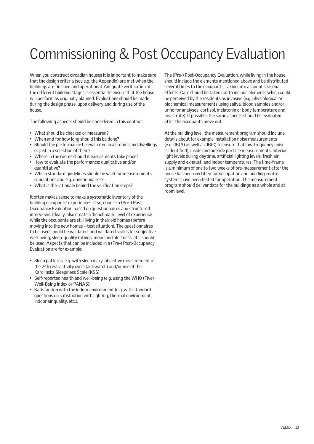## Commissioning & Post Occupancy Evaluation

When you construct circadian houses it is important to make sure that the design criteria (see e.g. the Appendix) are met when the buildings are finished and operational. Adequate verification at the different building stages is essential to ensure that the house will perform as originally planned. Evaluations should be made during the design phase, upon delivery and during use of the house.

The following aspects should be considered in this context:

- What should be checked or measured?
- When and for how long should this be done?
- Should the performance be evaluated in all rooms and dwellings or just in a selection of them?
- Where in the rooms should measurements take place?
- How to evaluate the performance: qualitative and/or quantitative?
- Which standard guidelines should be valid for measurements, simulations and e.g. questionnaires?
- What is the rationale behind the verification steps?

It often makes sense to make a systematic inventory of the building occupants' experiences. If so, choose a (Pre-) Post-Occupancy Evaluation based on questionnaires and structured interviews. Ideally, also create a 'benchmark' level of experience while the occupants are still living in their old homes (before moving into the new homes – test situation). The questionnaires to be used should be validated; and validated scales for subjective well-being, sleep-quality ratings, mood and alertness, etc. should be used. Aspects that can be included in a (Pre-) Post-Occupancy Evaluation are for example:

- Sleep patterns, e.g. with sleep diary, objective measurement of the 24h rest-activity cycle (actiwatch) and/or use of the Karolinska Sleepiness Scale (KSS);
- Self-reported health and well-being (e.g. using the WHO (Five) Well-Being Index or PANAS);
- Satisfaction with the indoor environment (e.g. with standard questions on satisfaction with lighting, thermal environment, indoor air quality, etc.).

The (Pre-) Post-Occupancy Evaluation, while living in the house, should include the elements mentioned above and be distributed several times to the occupants, taking into account seasonal effects. Care should be taken not to include elements which could be perceived by the residents as invasive (e.g. physiological or biochemical measurements using saliva, blood samples and/or urine for analyses, cortisol, melatonin or body temperature and heart rate). If possible, the same aspects should be evaluated after the occupants move out.

At the building level, the measurement program should include details about for example installation noise measurements (e.g. dB(A) as well as dB(C) to ensure that low-frequency noise is identified), inside and outside particle measurements, interior light levels during daytime, artificial lighting levels, fresh air supply and exhaust, and indoor temperatures. The time-frame is a minimum of one to two weeks of pre-measurement after the house has been certified for occupation and building control systems have been tested for operation. The measurement program should deliver data for the buildings as a whole and at room level.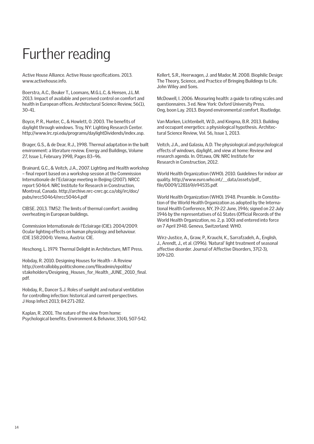# Further reading

Active House Alliance. Active House specifications. 2013. www.activehouse.info.

Boerstra, A.C., Beuker T., Loomans, M.G.L.C, & Hensen, J.L.M. 2013. Impact of available and perceived control on comfort and health in European offices. Architectural Science Review, 56(1), 30-41.

Boyce, P. R., Hunter, C., & Howlett, O. 2003. The benefits of daylight through windows. Troy, NY: Lighting Research Center. http://www.lrc.rpi.edu/programs/daylightDividends/index.asp.

Brager, G.S., & de Dear, R.J., 1998. Thermal adaptation in the built environment: a literature review. Energy and Buildings, Volume 27, Issue 1, February 1998, Pages 83–96.

Brainard, G.C., & Veitch, J.A., 2007. Lighting and Health workshop – final report based on a workshop session at the Commission Internationale de l'Eclairage meeting in Beijing (2007). NRCC report 50464. NRC Institute for Research in Construction, Montreal, Canada. http://archive.nrc-cnrc.gc.ca/obj/irc/doc/ pubs/nrcc50464/nrcc50464.pdf

CIBSE. 2013. TM52: The limits of thermal comfort: avoiding overheating in European buildings.

Commission Internationale de l'Eclairage (CIE). 2004/2009. Ocular lighting effects on human physiology and behaviour. (CIE 158:2004). Vienna, Austria: CIE.

Heschong, L. 1979. Thermal Delight in Architecture, MIT Press.

Hobday, R. 2010. Designing Houses for Health - A Review http://centrallobby.politicshome.com/fileadmin/epolitix/ stakeholders/Designing Houses for Health JUNE 2010 final. pdf.

Hobday, R., Dancer S.J. Roles of sunlight and natural ventilation for controlling infection: historical and current perspectives. J Hosp Infect 2013; 84:271-282.

Kaplan, R. 2001. The nature of the view from home: Psychological benefits. Environment & Behavior, 33(4), 507-542. Kellert, S.R., Heerwagen, J. and Mador, M. 2008. Biophilic Design: The Theory, Science, and Practice of Bringing Buildings to Life. John Wiley and Sons.

McDowell, I. 2006. Measuring health: a guide to rating scales and questionnaires. 3 ed. New York: Oxford University Press. Ong, boon Lay. 2013. Beyond environmental comfort. Routledge.

Van Marken, Lichtenbelt, W.D., and Kingma, B.R. 2013. Building and occupant energetics: a physiological hypothesis. Architectural Science Review, Vol. 56, Issue 1, 2013.

Veitch, J.A., and Galasiu, A.D. The physiological and psychological effects of windows, daylight, and view at home: Review and research agenda. In. Ottawa, ON: NRC Institute for Research in Construction, 2012.

World Health Organization (WHO). 2010. Guidelines for indoor air quality. http://www.euro.who.int/\_\_data/assets/pdf\_ file/0009/128169/e94535.pdf.

World Health Organization (WHO). 1948. Preamble. In Constitution of the World Health Organization as adopted by the International Health Conference, NY, 19-22 June, 1946; signed on 22 July 1946 by the representatives of 61 States (Official Records of the World Health Organization, no. 2, p. 100) and entered into force on 7 April 1948. Geneva, Switzerland: WHO.

Wirz-Justice, A., Graw, P., Krauchi, K., Sarrafzadeh, A., English, J., Arendt, J., et al. (1996). 'Natural' light treatment of seasonal affective disorder. Journal of Affective Disorders, 37(2-3), 109-120.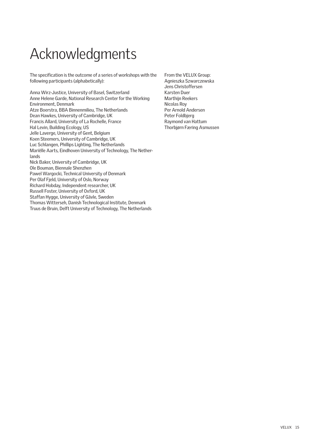# Acknowledgments

The specification is the outcome of a series of workshops with the following participants (alphabetically):

Anna Wirz-Justice, University of Basel, Switzerland Anne Helene Garde, National Research Center for the Working Environment, Denmark Atze Boerstra, BBA Binnenmilieu, The Netherlands Dean Hawkes, University of Cambridge, UK Francis Allard, University of La Rochelle, France Hal Levin, Building Ecology, US Jelle Laverge, University of Gent, Belgium Koen Steemers, University of Cambridge, UK Luc Schlangen, Phillips Lighting, The Netherlands Mariëlle Aarts, Eindhoven University of Technology, The Netherlands Nick Baker, University of Cambridge, UK Ole Bouman, Biennale Shenzhen Pawel Wargocki, Technical University of Denmark Per Olaf Fjeld, University of Oslo, Norway Richard Hobday, Independent researcher, UK Russell Foster, University of Oxford, UK Staffan Hygge, University of Gävle, Sweden Thomas Witterseh, Danish Technological Institute, Denmark Truus de Bruin, Delft University of Technology, The Netherlands

From the VELUX Group: Agnieszka Szwarczewska Jens Christoffersen Karsten Duer Marthijn Reekers Nicolas Roy Per Arnold Andersen Peter Foldbjerg Raymond van Hattum Thorbjørn Færing Asmussen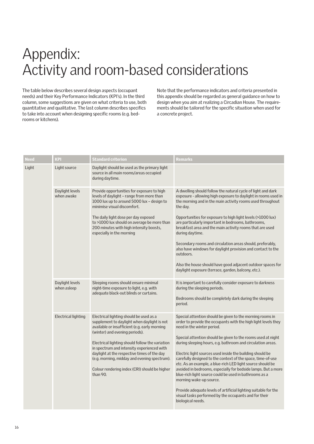## Appendix: Activity and room-based considerations

The table below describes several design aspects (occupant needs) and their Key Performance Indicators (KPI's). In the third column, some suggestions are given on what criteria to use, both quantitative and qualitative. The last column describes specifics to take into account when designing specific rooms (e.g. bedrooms or kitchens).

Note that the performance indicators and criteria presented in this appendix should be regarded as general guidance on how to design when you aim at realizing a Circadian House. The requirements should be tailored for the specific situation when used for a concrete project.

| <b>Need</b> | KPI                            | Standard criterion                                                                                                                                                                                                                                                                                                                                                                                                                     | Remarks                                                                                                                                                                                                                                                                                                                                                                                                                                                                                                                                                                                                                                                                                                                                                                                   |
|-------------|--------------------------------|----------------------------------------------------------------------------------------------------------------------------------------------------------------------------------------------------------------------------------------------------------------------------------------------------------------------------------------------------------------------------------------------------------------------------------------|-------------------------------------------------------------------------------------------------------------------------------------------------------------------------------------------------------------------------------------------------------------------------------------------------------------------------------------------------------------------------------------------------------------------------------------------------------------------------------------------------------------------------------------------------------------------------------------------------------------------------------------------------------------------------------------------------------------------------------------------------------------------------------------------|
| Light       | Light source                   | Daylight should be used as the primary light<br>source in all main rooms/areas occupied<br>during daytime.                                                                                                                                                                                                                                                                                                                             |                                                                                                                                                                                                                                                                                                                                                                                                                                                                                                                                                                                                                                                                                                                                                                                           |
|             | Daylight levels<br>when awake  | Provide opportunities for exposure to high<br>levels of daylight - range from more than<br>1000 lux up to around 5000 lux - design to<br>minimise visual discomfort.<br>The daily light dose per day exposed<br>to >1000 lux should on average be more than<br>200 minutes with high intensity boosts,<br>especially in the morning                                                                                                    | A dwelling should follow the natural cycle of light and dark<br>exposure - allowing high exposure to daylight in rooms used in<br>the morning and in the main activity rooms used throughout<br>the day.<br>Opportunities for exposure to high light levels (>1000 lux)<br>are particularly important in bedrooms, bathrooms,<br>breakfast area and the main activity rooms that are used<br>during daytime.<br>Secondary rooms and circulation areas should, preferably,<br>also have windows for daylight provision and contact to the<br>outdoors.<br>Also the house should have good adjacent outdoor spaces for<br>daylight exposure (terrace, garden, balcony, etc.).                                                                                                               |
|             | Daylight levels<br>when asleep | Sleeping rooms should ensure minimal<br>night-time exposure to light, e.g. with<br>adequate black-out blinds or curtains.                                                                                                                                                                                                                                                                                                              | It is important to carefully consider exposure to darkness<br>during the sleeping periods.<br>Bedrooms should be completely dark during the sleeping<br>period.                                                                                                                                                                                                                                                                                                                                                                                                                                                                                                                                                                                                                           |
|             | <b>Electrical lighting</b>     | Electrical lighting should be used as a<br>supplement to daylight when daylight is not<br>available or insufficient (e.g. early morning<br>(winter) and evening periods).<br>Electrical lighting should follow the variation<br>in spectrum and intensity experienced with<br>daylight at the respective times of the day<br>(e.g. morning, midday and evening spectrum).<br>Colour rendering index (CRI) should be higher<br>than 90. | Special attention should be given to the morning rooms in<br>order to provide the occupants with the high light levels they<br>need in the winter period.<br>Special attention should be given to the rooms used at night<br>during sleeping hours, e.g. bathroom and circulation areas.<br>Electric light sources used inside the building should be<br>carefully designed to the context of the space, time-of-use<br>etc. As an example, a blue-rich LED light source should be<br>avoided in bedrooms, especially for bedside lamps. But a more<br>blue-rich light source could be used in bathrooms as a<br>morning wake-up source.<br>Provide adequate levels of artificial lighting suitable for the<br>visual tasks performed by the occupants and for their<br>biological needs. |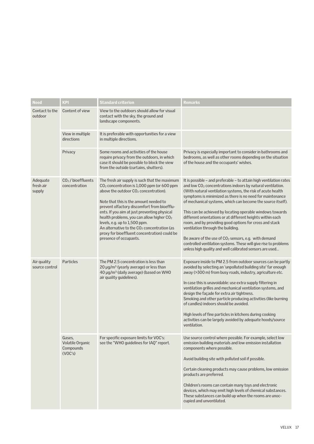| Need                            | <b>KPI</b>                                         | <b>Standard criterion</b>                                                                                                                                                                                                                                                                                                                                                                                                                                                                                                             | <b>Remarks</b>                                                                                                                                                                                                                                                                                                                                                                                                                                                                                                                                                                                                                                                                                                                                                         |
|---------------------------------|----------------------------------------------------|---------------------------------------------------------------------------------------------------------------------------------------------------------------------------------------------------------------------------------------------------------------------------------------------------------------------------------------------------------------------------------------------------------------------------------------------------------------------------------------------------------------------------------------|------------------------------------------------------------------------------------------------------------------------------------------------------------------------------------------------------------------------------------------------------------------------------------------------------------------------------------------------------------------------------------------------------------------------------------------------------------------------------------------------------------------------------------------------------------------------------------------------------------------------------------------------------------------------------------------------------------------------------------------------------------------------|
| Contact to the<br>outdoor       | Content of view                                    | View to the outdoors should allow for visual<br>contact with the sky, the ground and<br>landscape components.                                                                                                                                                                                                                                                                                                                                                                                                                         |                                                                                                                                                                                                                                                                                                                                                                                                                                                                                                                                                                                                                                                                                                                                                                        |
|                                 | View in multiple<br>directions                     | It is preferable with opportunities for a view<br>in multiple directions.                                                                                                                                                                                                                                                                                                                                                                                                                                                             |                                                                                                                                                                                                                                                                                                                                                                                                                                                                                                                                                                                                                                                                                                                                                                        |
|                                 | Privacy                                            | Some rooms and activities of the house<br>require privacy from the outdoors, in which<br>case it should be possible to block the view<br>from the outside (curtains, shutters).                                                                                                                                                                                                                                                                                                                                                       | Privacy is especially important to consider in bathrooms and<br>bedrooms, as well as other rooms depending on the situation<br>of the house and the occupants' wishes.                                                                                                                                                                                                                                                                                                                                                                                                                                                                                                                                                                                                 |
| Adequate<br>fresh air<br>supply | CO <sub>2</sub> / bioeffluents<br>concentration    | The fresh air supply is such that the maximum<br>CO <sub>2</sub> concentration is 1,000 ppm (or 600 ppm<br>above the outdoor CO <sub>2</sub> concentration).<br>Note that this is the amount needed to<br>prevent olfactory discomfort from bioefflu-<br>ents. If you aim at just preventing physical<br>health problems, you can allow higher CO <sub>2</sub><br>levels, e.g. up to 1,500 ppm.<br>An alternative to the CO <sub>2</sub> concentration (as<br>proxy for bioeffluent concentration) could be<br>presence of occupants. | It is possible - and preferable - to attain high ventilation rates<br>and low CO <sub>2</sub> concentrations indoors by natural ventilation.<br>(With natural ventilation systems, the risk of acute health<br>symptoms is minimized as there is no need for maintenance<br>of mechanical systems, which can become the source itself).<br>This can be achieved by locating operable windows towards<br>different orientations or at different heights within each<br>room, and by providing good options for cross and stack<br>ventilation through the building.<br>Be aware of the use of CO <sub>2</sub> sensors, e.g. with demand<br>controlled ventilation systems. These will give rise to problems<br>unless high quality and well calibrated sensors are used |
| Air quality<br>source control   | <b>Particles</b>                                   | The PM 2.5 concentration is less than<br>20 µg/m <sup>3</sup> (yearly average) or less than<br>40 µg/m <sup>3</sup> (daily average) (based on WHO<br>air quality guidelines).                                                                                                                                                                                                                                                                                                                                                         | Exposure inside to PM 2.5 from outdoor sources can be partly<br>avoided by selecting an 'unpolluted building site' far enough<br>away (>300 m) from busy roads, industry, agriculture etc.<br>In case this is unavoidable: use extra supply filtering in<br>ventilation grilles and mechanical ventilation systems, and<br>design the façade for extra air tightness.<br>Smoking and other particle producing activities (like burning<br>of candles) indoors should be avoided.<br>High levels of fine particles in kitchens during cooking<br>activities can be largely avoided by adequate hoods/source<br>ventilation.                                                                                                                                             |
|                                 | Gases,<br>Volatile Organic<br>Compounds<br>(VOC's) | For specific exposure limits for VOC's:<br>see the "WHO guidelines for IAQ" report.                                                                                                                                                                                                                                                                                                                                                                                                                                                   | Use source control where possible. For example, select low<br>emission building materials and low emission installation<br>components where possible.<br>Avoid building site with polluted soil if possible.<br>Certain cleaning products may cause problems, low emission<br>products are preferred.<br>Children's rooms can contain many toys and electronic<br>devices, which may emit high levels of chemical substances.<br>These substances can build up when the rooms are unoc-<br>cupied and unventilated.                                                                                                                                                                                                                                                    |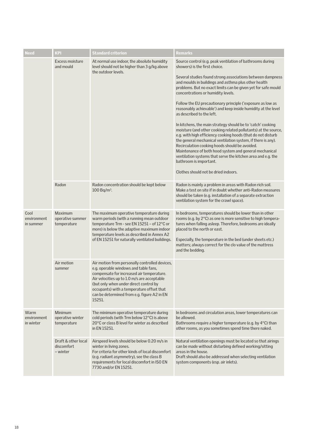| <b>Need</b>                      | <b>KPI</b>                                    | <b>Standard criterion</b>                                                                                                                                                                                                                                                                                                           | <b>Remarks</b>                                                                                                                                                                                                                                                                                                                                                                                                                                                                                                                                                                                                                                                                                                                                                                                                                                                                                                                                                                                     |
|----------------------------------|-----------------------------------------------|-------------------------------------------------------------------------------------------------------------------------------------------------------------------------------------------------------------------------------------------------------------------------------------------------------------------------------------|----------------------------------------------------------------------------------------------------------------------------------------------------------------------------------------------------------------------------------------------------------------------------------------------------------------------------------------------------------------------------------------------------------------------------------------------------------------------------------------------------------------------------------------------------------------------------------------------------------------------------------------------------------------------------------------------------------------------------------------------------------------------------------------------------------------------------------------------------------------------------------------------------------------------------------------------------------------------------------------------------|
|                                  | Excess moisture<br>and mould                  | At normal use indoor, the absolute humidity<br>level should not be higher than 3 g/kg above<br>the outdoor levels.                                                                                                                                                                                                                  | Source control (e.g. peak ventilation of bathrooms during<br>showers) is the first choice.<br>Several studies found strong associations between dampness<br>and moulds in buildings and asthma plus other health<br>problems. But no exact limits can be given yet for safe mould<br>concentrations or humidity levels.<br>Follow the EU precautionary principle ('exposure as low as<br>reasonably achievable') and keep inside humidity at the level<br>as described to the left.<br>In kitchens, the main strategy should be to 'catch' cooking<br>moisture (and other cooking related pollutants) at the source,<br>e.g. with high efficiency cooking hoods (that do not disturb<br>the general mechanical ventilation system, if there is any).<br>Recirculation cooking hoods should be avoided.<br>Maintenance of both hood system and general mechanical<br>ventilation systems that serve the kitchen area and e.g. the<br>bathroom is important.<br>Clothes should not be dried indoors. |
|                                  | Radon                                         | Radon concentration should be kept below<br>$100 Bq/m3$ .                                                                                                                                                                                                                                                                           | Radon is mainly a problem in areas with Radon rich soil.<br>Make a test on site if in doubt whether anti-Radon measures<br>should be taken (e.g. installation of a separate extraction<br>ventilation system for the crawl space).                                                                                                                                                                                                                                                                                                                                                                                                                                                                                                                                                                                                                                                                                                                                                                 |
| Cool<br>environment<br>in summer | Maximum<br>operative summer<br>temperature    | The maximum operative temperature during<br>warm periods (with a running mean outdoor<br>temperature Trm - see EN 15251 - of 12°C or<br>more) is below the adaptive maximum indoor<br>temperature levels as described in Annex A2<br>of EN 15251 for naturally ventilated buildings.                                                | In bedrooms, temperatures should be lower than in other<br>rooms (e.g. by 2°C) as one is more sensitive to high tempera-<br>tures when falling asleep. Therefore, bedrooms are ideally<br>placed to the north or east.<br>Especially, the temperature in the bed (under sheets etc.)<br>matters; always correct for the clo value of the mattress<br>and the bedding.                                                                                                                                                                                                                                                                                                                                                                                                                                                                                                                                                                                                                              |
|                                  | Air motion<br>summer                          | Air motion from personally controlled devices,<br>e.g. operable windows and table fans,<br>compensate for increased air temperature.<br>Air velocities up to 1.0 m/s are acceptable<br>(but only when under direct control by<br>occupants) with a temperature offset that<br>can be determined from e.g. figure A2 in EN<br>15251. |                                                                                                                                                                                                                                                                                                                                                                                                                                                                                                                                                                                                                                                                                                                                                                                                                                                                                                                                                                                                    |
| Warm<br>environment<br>in winter | Minimum<br>operative winter<br>temperature    | The minimum operative temperature during<br>cold periods (with Trm below 12°C) is above<br>20°C or class B level for winter as described<br>in EN 15251.                                                                                                                                                                            | In bedrooms and circulation areas, lower temperatures can<br>be allowed.<br>Bathrooms require a higher temperature (e.g. by 4°C) than<br>other rooms, as you sometimes spend time there naked.                                                                                                                                                                                                                                                                                                                                                                                                                                                                                                                                                                                                                                                                                                                                                                                                     |
|                                  | Draft & other local<br>discomfort<br>- winter | Airspeed levels should be below 0.20 m/s in<br>winter in living zones.<br>For criteria for other kinds of local discomfort<br>(e.g. radiant asymmetry), see the class B<br>requirements for local discomfort in ISO EN<br>7730 and/or EN 15251.                                                                                     | Natural ventilation openings must be located so that airings<br>can be made without disturbing defined working/sitting<br>areas in the house.<br>Draft should also be addressed when selecting ventilation<br>system components (esp. air inlets).                                                                                                                                                                                                                                                                                                                                                                                                                                                                                                                                                                                                                                                                                                                                                 |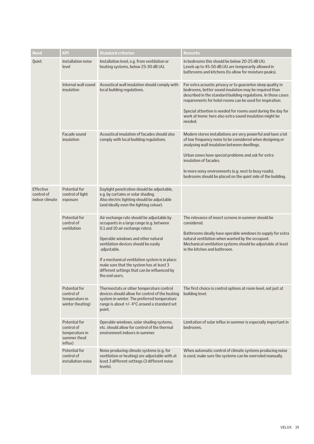| Need                                             | <b>KPI</b>                                                               | <b>Standard criterion</b>                                                                                                                                                                                                                                                                                                                                                              | Remarks                                                                                                                                                                                                                                                                                                                                                                                     |
|--------------------------------------------------|--------------------------------------------------------------------------|----------------------------------------------------------------------------------------------------------------------------------------------------------------------------------------------------------------------------------------------------------------------------------------------------------------------------------------------------------------------------------------|---------------------------------------------------------------------------------------------------------------------------------------------------------------------------------------------------------------------------------------------------------------------------------------------------------------------------------------------------------------------------------------------|
| Quiet                                            | Installation noise<br>level                                              | Installation level, e.g. from ventilation or<br>heating systems, below 25-30 dB (A).                                                                                                                                                                                                                                                                                                   | In bedrooms this should be below 20-25 dB (A).<br>Levels up to 45-50 dB (A) are temporarily allowed in<br>bathrooms and kitchens (to allow for moisture peaks).                                                                                                                                                                                                                             |
|                                                  | Internal wall sound<br>insulation                                        | Acoustical wall insulation should comply with<br>local building regulations.                                                                                                                                                                                                                                                                                                           | For extra acoustic privacy or to guarantee sleep quality in<br>bedrooms, better sound insulation may be required than<br>described in the standard building regulations. In those cases<br>requirements for hotel rooms can be used for inspiration.<br>Special attention is needed for rooms used during the day for<br>work at home: here also extra sound insulation might be<br>needed. |
|                                                  | Facade sound<br>insulation                                               | Acoustical insulation of facades should also<br>comply with local building regulations.                                                                                                                                                                                                                                                                                                | Modern stereo installations are very powerful and have a lot<br>of low frequency noise to be considered when designing or<br>analysing wall insulation between dwellings.<br>Urban zones have special problems and ask for extra<br>insulation of facades.<br>In more noisy environments (e.g. next to busy roads),<br>bedrooms should be placed on the quiet side of the building.         |
| <b>Effective</b><br>control of<br>indoor climate | Potential for<br>control of light<br>exposure                            | Daylight penetration should be adjustable,<br>e.g. by curtains or solar shading.<br>Also electric lighting should be adjustable<br>(and ideally even the lighting colour).                                                                                                                                                                                                             |                                                                                                                                                                                                                                                                                                                                                                                             |
|                                                  | Potential for<br>control of<br>ventilation                               | Air exchange rate should be adjustable by<br>occupants in a large range (e.g. between<br>0.1 and 10 air exchange rates).<br>Operable windows and other natural<br>ventilation devices should be easily<br>adjustable.<br>If a mechanical ventilation system is in place:<br>make sure that the system has at least 3<br>different settings that can be influenced by<br>the end users. | The relevance of insect screens in summer should be<br>considered.<br>Bathrooms ideally have operable windows to supply for extra<br>natural ventilation when wanted by the occupant.<br>Mechanical ventilation systems should be adjustable at least<br>in the kitchen and bathroom.                                                                                                       |
|                                                  | Potential for<br>control of<br>temperature in<br>winter (heating)        | Thermostats or other temperature control<br>devices should allow for control of the heating<br>system in winter. The preferred temperature<br>range is about +/-4°C around a standard set<br>point.                                                                                                                                                                                    | The first choice is control options at room level, not just at<br>building level.                                                                                                                                                                                                                                                                                                           |
|                                                  | Potential for<br>control of<br>temperature in<br>summer (heat<br>influx) | Operable windows, solar shading systems,<br>etc. should allow for control of the thermal<br>environment indoors in summer.                                                                                                                                                                                                                                                             | Limitation of solar influx in summer is especially important in<br>bedrooms.                                                                                                                                                                                                                                                                                                                |
|                                                  | Potential for<br>control of<br>installation noise                        | Noise producing climate systems (e.g. for<br>ventilation or heating) are adjustable with at<br>least 3 different settings (3 different noise<br>levels).                                                                                                                                                                                                                               | When automatic control of climate systems producing noise<br>is used, make sure the systems can be overruled manually.                                                                                                                                                                                                                                                                      |